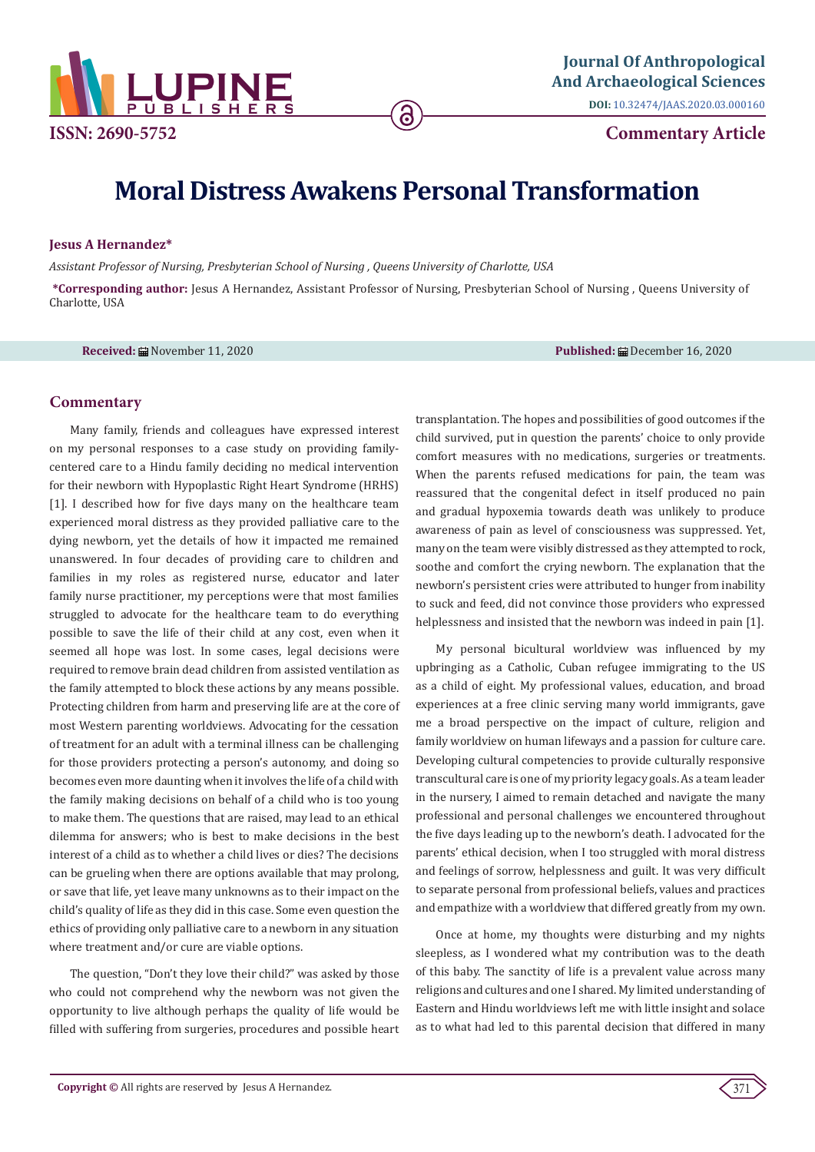

**DOI:** [10.32474/JAAS.2020.03.000160](http://dx.doi.org/10.32474/JAAS.2020.03.000160)

**Commentary Article**

# **Moral Distress Awakens Personal Transformation**

ခ

## **Jesus A Hernandez\***

*Assistant Professor of Nursing, Presbyterian School of Nursing , Queens University of Charlotte, USA* 

**\*Corresponding author:** Jesus A Hernandez, Assistant Professor of Nursing, Presbyterian School of Nursing , Queens University of Charlotte, USA

**Received:** November 11, 2020 **Published:** December 16, 2020

# **Commentary**

Many family, friends and colleagues have expressed interest on my personal responses to a case study on providing familycentered care to a Hindu family deciding no medical intervention for their newborn with Hypoplastic Right Heart Syndrome (HRHS) [1]. I described how for five days many on the healthcare team experienced moral distress as they provided palliative care to the dying newborn, yet the details of how it impacted me remained unanswered. In four decades of providing care to children and families in my roles as registered nurse, educator and later family nurse practitioner, my perceptions were that most families struggled to advocate for the healthcare team to do everything possible to save the life of their child at any cost, even when it seemed all hope was lost. In some cases, legal decisions were required to remove brain dead children from assisted ventilation as the family attempted to block these actions by any means possible. Protecting children from harm and preserving life are at the core of most Western parenting worldviews. Advocating for the cessation of treatment for an adult with a terminal illness can be challenging for those providers protecting a person's autonomy, and doing so becomes even more daunting when it involves the life of a child with the family making decisions on behalf of a child who is too young to make them. The questions that are raised, may lead to an ethical dilemma for answers; who is best to make decisions in the best interest of a child as to whether a child lives or dies? The decisions can be grueling when there are options available that may prolong, or save that life, yet leave many unknowns as to their impact on the child's quality of life as they did in this case. Some even question the ethics of providing only palliative care to a newborn in any situation where treatment and/or cure are viable options.

The question, "Don't they love their child?" was asked by those who could not comprehend why the newborn was not given the opportunity to live although perhaps the quality of life would be filled with suffering from surgeries, procedures and possible heart transplantation. The hopes and possibilities of good outcomes if the child survived, put in question the parents' choice to only provide comfort measures with no medications, surgeries or treatments. When the parents refused medications for pain, the team was reassured that the congenital defect in itself produced no pain and gradual hypoxemia towards death was unlikely to produce awareness of pain as level of consciousness was suppressed. Yet, many on the team were visibly distressed as they attempted to rock, soothe and comfort the crying newborn. The explanation that the newborn's persistent cries were attributed to hunger from inability to suck and feed, did not convince those providers who expressed helplessness and insisted that the newborn was indeed in pain [1].

My personal bicultural worldview was influenced by my upbringing as a Catholic, Cuban refugee immigrating to the US as a child of eight. My professional values, education, and broad experiences at a free clinic serving many world immigrants, gave me a broad perspective on the impact of culture, religion and family worldview on human lifeways and a passion for culture care. Developing cultural competencies to provide culturally responsive transcultural care is one of my priority legacy goals. As a team leader in the nursery, I aimed to remain detached and navigate the many professional and personal challenges we encountered throughout the five days leading up to the newborn's death. I advocated for the parents' ethical decision, when I too struggled with moral distress and feelings of sorrow, helplessness and guilt. It was very difficult to separate personal from professional beliefs, values and practices and empathize with a worldview that differed greatly from my own.

Once at home, my thoughts were disturbing and my nights sleepless, as I wondered what my contribution was to the death of this baby. The sanctity of life is a prevalent value across many religions and cultures and one I shared. My limited understanding of Eastern and Hindu worldviews left me with little insight and solace as to what had led to this parental decision that differed in many